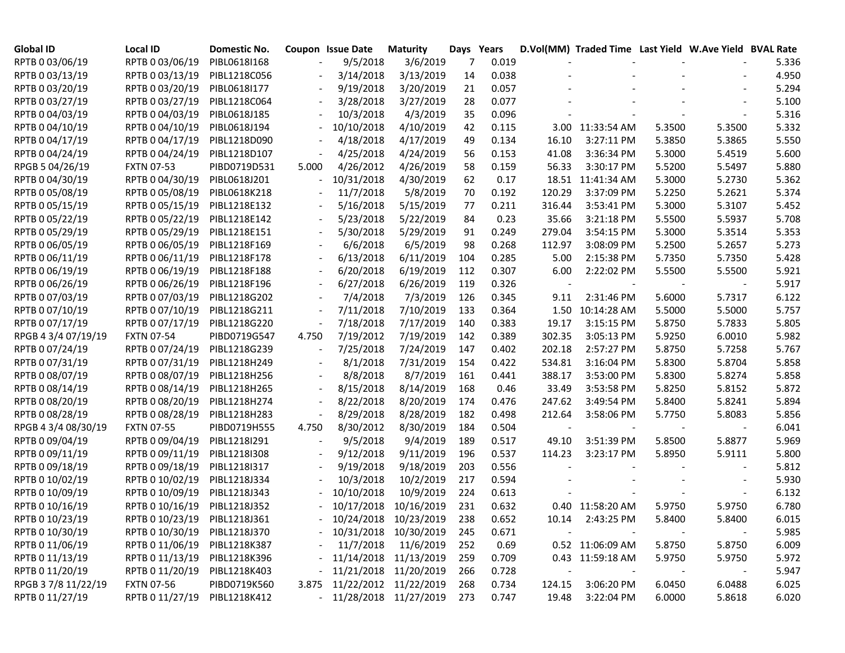| <b>Global ID</b>    | Local ID          | Domestic No. |                          | <b>Coupon Issue Date</b>   | <b>Maturity</b>       |     | Days Years |        | D.Vol(MM) Traded Time Last Yield W.Ave Yield BVAL Rate |        |        |       |
|---------------------|-------------------|--------------|--------------------------|----------------------------|-----------------------|-----|------------|--------|--------------------------------------------------------|--------|--------|-------|
| RPTB 0 03/06/19     | RPTB 0 03/06/19   | PIBL0618I168 |                          | 9/5/2018                   | 3/6/2019              | 7   | 0.019      |        |                                                        |        |        | 5.336 |
| RPTB 0 03/13/19     | RPTB 0 03/13/19   | PIBL1218C056 |                          | 3/14/2018                  | 3/13/2019             | 14  | 0.038      |        |                                                        |        |        | 4.950 |
| RPTB 0 03/20/19     | RPTB 0 03/20/19   | PIBL0618I177 |                          | 9/19/2018                  | 3/20/2019             | 21  | 0.057      |        |                                                        |        |        | 5.294 |
| RPTB 0 03/27/19     | RPTB 0 03/27/19   | PIBL1218C064 |                          | 3/28/2018                  | 3/27/2019             | 28  | 0.077      |        |                                                        |        |        | 5.100 |
| RPTB 0 04/03/19     | RPTB 0 04/03/19   | PIBL0618J185 |                          | 10/3/2018                  | 4/3/2019              | 35  | 0.096      |        |                                                        |        |        | 5.316 |
| RPTB 0 04/10/19     | RPTB 0 04/10/19   | PIBL0618J194 |                          | 10/10/2018                 | 4/10/2019             | 42  | 0.115      |        | 3.00 11:33:54 AM                                       | 5.3500 | 5.3500 | 5.332 |
| RPTB 0 04/17/19     | RPTB 0 04/17/19   | PIBL1218D090 |                          | 4/18/2018                  | 4/17/2019             | 49  | 0.134      | 16.10  | 3:27:11 PM                                             | 5.3850 | 5.3865 | 5.550 |
| RPTB 0 04/24/19     | RPTB 0 04/24/19   | PIBL1218D107 |                          | 4/25/2018                  | 4/24/2019             | 56  | 0.153      | 41.08  | 3:36:34 PM                                             | 5.3000 | 5.4519 | 5.600 |
| RPGB 5 04/26/19     | <b>FXTN 07-53</b> | PIBD0719D531 | 5.000                    | 4/26/2012                  | 4/26/2019             | 58  | 0.159      | 56.33  | 3:30:17 PM                                             | 5.5200 | 5.5497 | 5.880 |
| RPTB 0 04/30/19     | RPTB 0 04/30/19   | PIBL0618J201 |                          | 10/31/2018                 | 4/30/2019             | 62  | 0.17       |        | 18.51 11:41:34 AM                                      | 5.3000 | 5.2730 | 5.362 |
| RPTB 0 05/08/19     | RPTB 0 05/08/19   | PIBL0618K218 |                          | 11/7/2018                  | 5/8/2019              | 70  | 0.192      | 120.29 | 3:37:09 PM                                             | 5.2250 | 5.2621 | 5.374 |
| RPTB 0 05/15/19     | RPTB 0 05/15/19   | PIBL1218E132 |                          | 5/16/2018                  | 5/15/2019             | 77  | 0.211      | 316.44 | 3:53:41 PM                                             | 5.3000 | 5.3107 | 5.452 |
| RPTB 0 05/22/19     | RPTB 0 05/22/19   | PIBL1218E142 | $\overline{\phantom{a}}$ | 5/23/2018                  | 5/22/2019             | 84  | 0.23       | 35.66  | 3:21:18 PM                                             | 5.5500 | 5.5937 | 5.708 |
| RPTB 0 05/29/19     | RPTB 0 05/29/19   | PIBL1218E151 |                          | 5/30/2018                  | 5/29/2019             | 91  | 0.249      | 279.04 | 3:54:15 PM                                             | 5.3000 | 5.3514 | 5.353 |
| RPTB 0 06/05/19     | RPTB 0 06/05/19   | PIBL1218F169 |                          | 6/6/2018                   | 6/5/2019              | 98  | 0.268      | 112.97 | 3:08:09 PM                                             | 5.2500 | 5.2657 | 5.273 |
| RPTB 0 06/11/19     | RPTB 0 06/11/19   | PIBL1218F178 |                          | 6/13/2018                  | 6/11/2019             | 104 | 0.285      | 5.00   | 2:15:38 PM                                             | 5.7350 | 5.7350 | 5.428 |
| RPTB 0 06/19/19     | RPTB 0 06/19/19   | PIBL1218F188 |                          | 6/20/2018                  | 6/19/2019             | 112 | 0.307      | 6.00   | 2:22:02 PM                                             | 5.5500 | 5.5500 | 5.921 |
| RPTB 0 06/26/19     | RPTB 0 06/26/19   | PIBL1218F196 |                          | 6/27/2018                  | 6/26/2019             | 119 | 0.326      |        |                                                        |        |        | 5.917 |
| RPTB 0 07/03/19     | RPTB 0 07/03/19   | PIBL1218G202 |                          | 7/4/2018                   | 7/3/2019              | 126 | 0.345      | 9.11   | 2:31:46 PM                                             | 5.6000 | 5.7317 | 6.122 |
| RPTB 0 07/10/19     | RPTB 0 07/10/19   | PIBL1218G211 |                          | 7/11/2018                  | 7/10/2019             | 133 | 0.364      |        | 1.50 10:14:28 AM                                       | 5.5000 | 5.5000 | 5.757 |
| RPTB 0 07/17/19     | RPTB 0 07/17/19   | PIBL1218G220 | $\overline{\phantom{a}}$ | 7/18/2018                  | 7/17/2019             | 140 | 0.383      | 19.17  | 3:15:15 PM                                             | 5.8750 | 5.7833 | 5.805 |
| RPGB 4 3/4 07/19/19 | <b>FXTN 07-54</b> | PIBD0719G547 | 4.750                    | 7/19/2012                  | 7/19/2019             | 142 | 0.389      | 302.35 | 3:05:13 PM                                             | 5.9250 | 6.0010 | 5.982 |
| RPTB 0 07/24/19     | RPTB 0 07/24/19   | PIBL1218G239 |                          | 7/25/2018                  | 7/24/2019             | 147 | 0.402      | 202.18 | 2:57:27 PM                                             | 5.8750 | 5.7258 | 5.767 |
| RPTB 0 07/31/19     | RPTB 0 07/31/19   | PIBL1218H249 |                          | 8/1/2018                   | 7/31/2019             | 154 | 0.422      | 534.81 | 3:16:04 PM                                             | 5.8300 | 5.8704 | 5.858 |
| RPTB 0 08/07/19     | RPTB 0 08/07/19   | PIBL1218H256 |                          | 8/8/2018                   | 8/7/2019              | 161 | 0.441      | 388.17 | 3:53:00 PM                                             | 5.8300 | 5.8274 | 5.858 |
| RPTB 0 08/14/19     | RPTB 0 08/14/19   | PIBL1218H265 |                          | 8/15/2018                  | 8/14/2019             | 168 | 0.46       | 33.49  | 3:53:58 PM                                             | 5.8250 | 5.8152 | 5.872 |
| RPTB 0 08/20/19     | RPTB 0 08/20/19   | PIBL1218H274 |                          | 8/22/2018                  | 8/20/2019             | 174 | 0.476      | 247.62 | 3:49:54 PM                                             | 5.8400 | 5.8241 | 5.894 |
| RPTB 0 08/28/19     | RPTB 0 08/28/19   | PIBL1218H283 |                          | 8/29/2018                  | 8/28/2019             | 182 | 0.498      | 212.64 | 3:58:06 PM                                             | 5.7750 | 5.8083 | 5.856 |
| RPGB 4 3/4 08/30/19 | <b>FXTN 07-55</b> | PIBD0719H555 | 4.750                    | 8/30/2012                  | 8/30/2019             | 184 | 0.504      |        |                                                        |        |        | 6.041 |
| RPTB 0 09/04/19     | RPTB 0 09/04/19   | PIBL1218I291 |                          | 9/5/2018                   | 9/4/2019              | 189 | 0.517      | 49.10  | 3:51:39 PM                                             | 5.8500 | 5.8877 | 5.969 |
| RPTB 0 09/11/19     | RPTB 0 09/11/19   | PIBL1218I308 |                          | 9/12/2018                  | 9/11/2019             | 196 | 0.537      | 114.23 | 3:23:17 PM                                             | 5.8950 | 5.9111 | 5.800 |
| RPTB 0 09/18/19     | RPTB 0 09/18/19   | PIBL1218I317 |                          | 9/19/2018                  | 9/18/2019             | 203 | 0.556      |        |                                                        |        |        | 5.812 |
| RPTB 0 10/02/19     | RPTB 0 10/02/19   | PIBL1218J334 |                          | 10/3/2018                  | 10/2/2019             | 217 | 0.594      |        |                                                        |        |        | 5.930 |
| RPTB 0 10/09/19     | RPTB 0 10/09/19   | PIBL1218J343 |                          | 10/10/2018                 | 10/9/2019             | 224 | 0.613      |        |                                                        |        |        | 6.132 |
| RPTB 0 10/16/19     | RPTB 0 10/16/19   | PIBL1218J352 |                          | 10/17/2018                 | 10/16/2019            | 231 | 0.632      |        | 0.40 11:58:20 AM                                       | 5.9750 | 5.9750 | 6.780 |
| RPTB 0 10/23/19     | RPTB 0 10/23/19   | PIBL1218J361 |                          |                            | 10/24/2018 10/23/2019 | 238 | 0.652      |        | 10.14 2:43:25 PM                                       | 5.8400 | 5.8400 | 6.015 |
| RPTB 0 10/30/19     | RPTB 0 10/30/19   | PIBL1218J370 |                          | $-10/31/2018$ $10/30/2019$ |                       | 245 | 0.671      |        |                                                        |        |        | 5.985 |
| RPTB 0 11/06/19     | RPTB 0 11/06/19   | PIBL1218K387 |                          | 11/7/2018                  | 11/6/2019             | 252 | 0.69       |        | 0.52 11:06:09 AM                                       | 5.8750 | 5.8750 | 6.009 |
| RPTB 0 11/13/19     | RPTB 0 11/13/19   | PIBL1218K396 |                          |                            | 11/14/2018 11/13/2019 | 259 | 0.709      |        | 0.43 11:59:18 AM                                       | 5.9750 | 5.9750 | 5.972 |
| RPTB 0 11/20/19     | RPTB 0 11/20/19   | PIBL1218K403 |                          |                            | 11/21/2018 11/20/2019 | 266 | 0.728      |        |                                                        |        |        | 5.947 |
| RPGB 37/8 11/22/19  | <b>FXTN 07-56</b> | PIBD0719K560 | 3.875                    |                            | 11/22/2012 11/22/2019 | 268 | 0.734      | 124.15 | 3:06:20 PM                                             | 6.0450 | 6.0488 | 6.025 |
| RPTB 0 11/27/19     | RPTB 0 11/27/19   | PIBL1218K412 |                          | - 11/28/2018 11/27/2019    |                       | 273 | 0.747      | 19.48  | 3:22:04 PM                                             | 6.0000 | 5.8618 | 6.020 |
|                     |                   |              |                          |                            |                       |     |            |        |                                                        |        |        |       |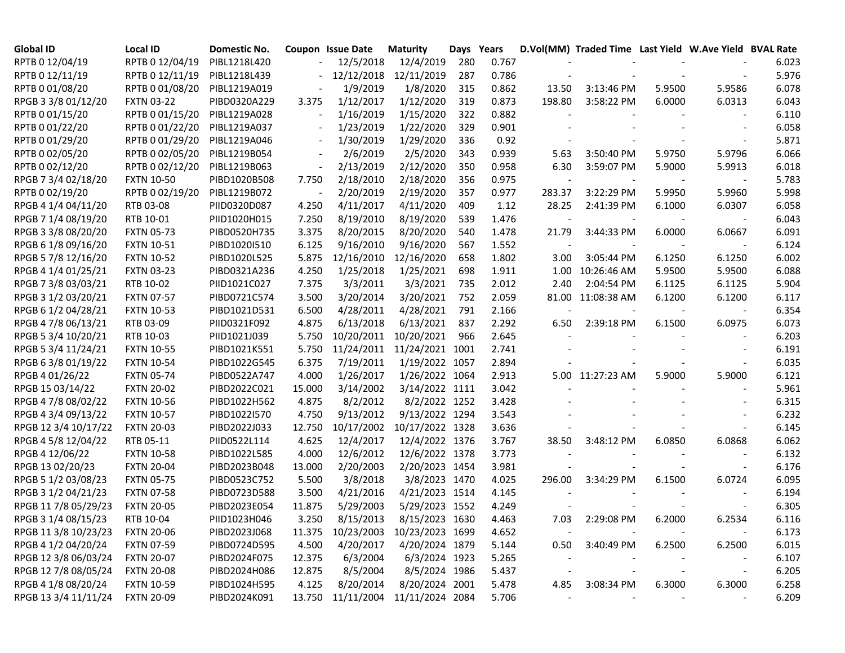| Global ID            | <b>Local ID</b>   | Domestic No. |                          | <b>Coupon Issue Date</b> | <b>Maturity</b>            | Days Years |       |        | D.Vol(MM) Traded Time Last Yield W.Ave Yield BVAL Rate |        |        |       |
|----------------------|-------------------|--------------|--------------------------|--------------------------|----------------------------|------------|-------|--------|--------------------------------------------------------|--------|--------|-------|
| RPTB 0 12/04/19      | RPTB 0 12/04/19   | PIBL1218L420 |                          | 12/5/2018                | 12/4/2019                  | 280        | 0.767 |        |                                                        |        |        | 6.023 |
| RPTB 0 12/11/19      | RPTB 0 12/11/19   | PIBL1218L439 |                          | 12/12/2018               | 12/11/2019                 | 287        | 0.786 |        |                                                        |        |        | 5.976 |
| RPTB 0 01/08/20      | RPTB 0 01/08/20   | PIBL1219A019 |                          | 1/9/2019                 | 1/8/2020                   | 315        | 0.862 | 13.50  | 3:13:46 PM                                             | 5.9500 | 5.9586 | 6.078 |
| RPGB 3 3/8 01/12/20  | <b>FXTN 03-22</b> | PIBD0320A229 | 3.375                    | 1/12/2017                | 1/12/2020                  | 319        | 0.873 | 198.80 | 3:58:22 PM                                             | 6.0000 | 6.0313 | 6.043 |
| RPTB 0 01/15/20      | RPTB 0 01/15/20   | PIBL1219A028 |                          | 1/16/2019                | 1/15/2020                  | 322        | 0.882 |        |                                                        |        |        | 6.110 |
| RPTB 0 01/22/20      | RPTB 0 01/22/20   | PIBL1219A037 |                          | 1/23/2019                | 1/22/2020                  | 329        | 0.901 |        |                                                        |        |        | 6.058 |
| RPTB 0 01/29/20      | RPTB 0 01/29/20   | PIBL1219A046 | $\overline{\phantom{a}}$ | 1/30/2019                | 1/29/2020                  | 336        | 0.92  |        |                                                        |        |        | 5.871 |
| RPTB 0 02/05/20      | RPTB 0 02/05/20   | PIBL1219B054 |                          | 2/6/2019                 | 2/5/2020                   | 343        | 0.939 | 5.63   | 3:50:40 PM                                             | 5.9750 | 5.9796 | 6.066 |
| RPTB 0 02/12/20      | RPTB 0 02/12/20   | PIBL1219B063 | $\overline{\phantom{a}}$ | 2/13/2019                | 2/12/2020                  | 350        | 0.958 | 6.30   | 3:59:07 PM                                             | 5.9000 | 5.9913 | 6.018 |
| RPGB 7 3/4 02/18/20  | <b>FXTN 10-50</b> | PIBD1020B508 | 7.750                    | 2/18/2010                | 2/18/2020                  | 356        | 0.975 |        |                                                        |        |        | 5.783 |
| RPTB 0 02/19/20      | RPTB 0 02/19/20   | PIBL1219B072 |                          | 2/20/2019                | 2/19/2020                  | 357        | 0.977 | 283.37 | 3:22:29 PM                                             | 5.9950 | 5.9960 | 5.998 |
| RPGB 4 1/4 04/11/20  | RTB 03-08         | PIID0320D087 | 4.250                    | 4/11/2017                | 4/11/2020                  | 409        | 1.12  | 28.25  | 2:41:39 PM                                             | 6.1000 | 6.0307 | 6.058 |
| RPGB 7 1/4 08/19/20  | RTB 10-01         | PIID1020H015 | 7.250                    | 8/19/2010                | 8/19/2020                  | 539        | 1.476 |        |                                                        |        |        | 6.043 |
| RPGB 3 3/8 08/20/20  | <b>FXTN 05-73</b> | PIBD0520H735 | 3.375                    | 8/20/2015                | 8/20/2020                  | 540        | 1.478 | 21.79  | 3:44:33 PM                                             | 6.0000 | 6.0667 | 6.091 |
| RPGB 6 1/8 09/16/20  | <b>FXTN 10-51</b> | PIBD1020I510 | 6.125                    | 9/16/2010                | 9/16/2020                  | 567        | 1.552 |        |                                                        |        |        | 6.124 |
| RPGB 5 7/8 12/16/20  | <b>FXTN 10-52</b> | PIBD1020L525 | 5.875                    | 12/16/2010               | 12/16/2020                 | 658        | 1.802 | 3.00   | 3:05:44 PM                                             | 6.1250 | 6.1250 | 6.002 |
| RPGB 4 1/4 01/25/21  | <b>FXTN 03-23</b> | PIBD0321A236 | 4.250                    | 1/25/2018                | 1/25/2021                  | 698        | 1.911 | 1.00   | 10:26:46 AM                                            | 5.9500 | 5.9500 | 6.088 |
| RPGB 7 3/8 03/03/21  | RTB 10-02         | PIID1021C027 | 7.375                    | 3/3/2011                 | 3/3/2021                   | 735        | 2.012 | 2.40   | 2:04:54 PM                                             | 6.1125 | 6.1125 | 5.904 |
| RPGB 3 1/2 03/20/21  | <b>FXTN 07-57</b> | PIBD0721C574 | 3.500                    | 3/20/2014                | 3/20/2021                  | 752        | 2.059 |        | 81.00 11:08:38 AM                                      | 6.1200 | 6.1200 | 6.117 |
| RPGB 6 1/2 04/28/21  | <b>FXTN 10-53</b> | PIBD1021D531 | 6.500                    | 4/28/2011                | 4/28/2021                  | 791        | 2.166 |        |                                                        |        |        | 6.354 |
| RPGB 4 7/8 06/13/21  | RTB 03-09         | PIID0321F092 | 4.875                    | 6/13/2018                | 6/13/2021                  | 837        | 2.292 | 6.50   | 2:39:18 PM                                             | 6.1500 | 6.0975 | 6.073 |
| RPGB 5 3/4 10/20/21  | RTB 10-03         | PIID1021J039 | 5.750                    | 10/20/2011               | 10/20/2021                 | 966        | 2.645 |        |                                                        |        |        | 6.203 |
| RPGB 5 3/4 11/24/21  | <b>FXTN 10-55</b> | PIBD1021K551 | 5.750                    | 11/24/2011               | 11/24/2021 1001            |            | 2.741 |        |                                                        |        |        | 6.191 |
| RPGB 63/8 01/19/22   | <b>FXTN 10-54</b> | PIBD1022G545 | 6.375                    | 7/19/2011                | 1/19/2022 1057             |            | 2.894 |        |                                                        |        |        | 6.035 |
| RPGB 4 01/26/22      | <b>FXTN 05-74</b> | PIBD0522A747 | 4.000                    | 1/26/2017                | 1/26/2022 1064             |            | 2.913 |        | 5.00 11:27:23 AM                                       | 5.9000 | 5.9000 | 6.121 |
| RPGB 15 03/14/22     | <b>FXTN 20-02</b> | PIBD2022C021 | 15.000                   | 3/14/2002                | 3/14/2022 1111             |            | 3.042 |        |                                                        |        |        | 5.961 |
| RPGB 4 7/8 08/02/22  | <b>FXTN 10-56</b> | PIBD1022H562 | 4.875                    | 8/2/2012                 | 8/2/2022 1252              |            | 3.428 |        |                                                        |        |        | 6.315 |
| RPGB 4 3/4 09/13/22  | <b>FXTN 10-57</b> | PIBD1022I570 | 4.750                    | 9/13/2012                | 9/13/2022 1294             |            | 3.543 |        |                                                        |        |        | 6.232 |
| RPGB 12 3/4 10/17/22 | <b>FXTN 20-03</b> | PIBD2022J033 | 12.750                   | 10/17/2002               | 10/17/2022 1328            |            | 3.636 |        |                                                        |        |        | 6.145 |
| RPGB 4 5/8 12/04/22  | RTB 05-11         | PIID0522L114 | 4.625                    | 12/4/2017                | 12/4/2022 1376             |            | 3.767 | 38.50  | 3:48:12 PM                                             | 6.0850 | 6.0868 | 6.062 |
| RPGB 4 12/06/22      | <b>FXTN 10-58</b> | PIBD1022L585 | 4.000                    | 12/6/2012                | 12/6/2022 1378             |            | 3.773 |        |                                                        |        |        | 6.132 |
| RPGB 13 02/20/23     | <b>FXTN 20-04</b> | PIBD2023B048 | 13.000                   | 2/20/2003                | 2/20/2023 1454             |            | 3.981 |        |                                                        |        |        | 6.176 |
| RPGB 5 1/2 03/08/23  | <b>FXTN 05-75</b> | PIBD0523C752 | 5.500                    | 3/8/2018                 | 3/8/2023 1470              |            | 4.025 | 296.00 | 3:34:29 PM                                             | 6.1500 | 6.0724 | 6.095 |
| RPGB 3 1/2 04/21/23  | <b>FXTN 07-58</b> | PIBD0723D588 | 3.500                    | 4/21/2016                | 4/21/2023 1514             |            | 4.145 |        |                                                        |        |        | 6.194 |
| RPGB 11 7/8 05/29/23 | <b>FXTN 20-05</b> | PIBD2023E054 | 11.875                   | 5/29/2003                | 5/29/2023 1552             |            | 4.249 |        |                                                        |        |        | 6.305 |
| RPGB 3 1/4 08/15/23  | RTB 10-04         | PIID1023H046 | 3.250                    | 8/15/2013                | 8/15/2023 1630             |            | 4.463 | 7.03   | 2:29:08 PM                                             | 6.2000 | 6.2534 | 6.116 |
| RPGB 11 3/8 10/23/23 | <b>FXTN 20-06</b> | PIBD2023J068 | 11.375                   |                          | 10/23/2003 10/23/2023 1699 |            | 4.652 |        |                                                        |        |        | 6.173 |
| RPGB 4 1/2 04/20/24  | <b>FXTN 07-59</b> | PIBD0724D595 | 4.500                    | 4/20/2017                | 4/20/2024 1879             |            | 5.144 | 0.50   | 3:40:49 PM                                             | 6.2500 | 6.2500 | 6.015 |
| RPGB 12 3/8 06/03/24 | <b>FXTN 20-07</b> | PIBD2024F075 | 12.375                   | 6/3/2004                 | 6/3/2024 1923              |            | 5.265 |        |                                                        |        |        | 6.107 |
| RPGB 12 7/8 08/05/24 | <b>FXTN 20-08</b> | PIBD2024H086 | 12.875                   | 8/5/2004                 | 8/5/2024 1986              |            | 5.437 |        |                                                        |        |        | 6.205 |
| RPGB 4 1/8 08/20/24  | <b>FXTN 10-59</b> | PIBD1024H595 | 4.125                    | 8/20/2014                | 8/20/2024 2001             |            | 5.478 | 4.85   | 3:08:34 PM                                             | 6.3000 | 6.3000 | 6.258 |
| RPGB 13 3/4 11/11/24 | <b>FXTN 20-09</b> | PIBD2024K091 | 13.750                   |                          | 11/11/2004 11/11/2024 2084 |            | 5.706 |        |                                                        |        |        | 6.209 |